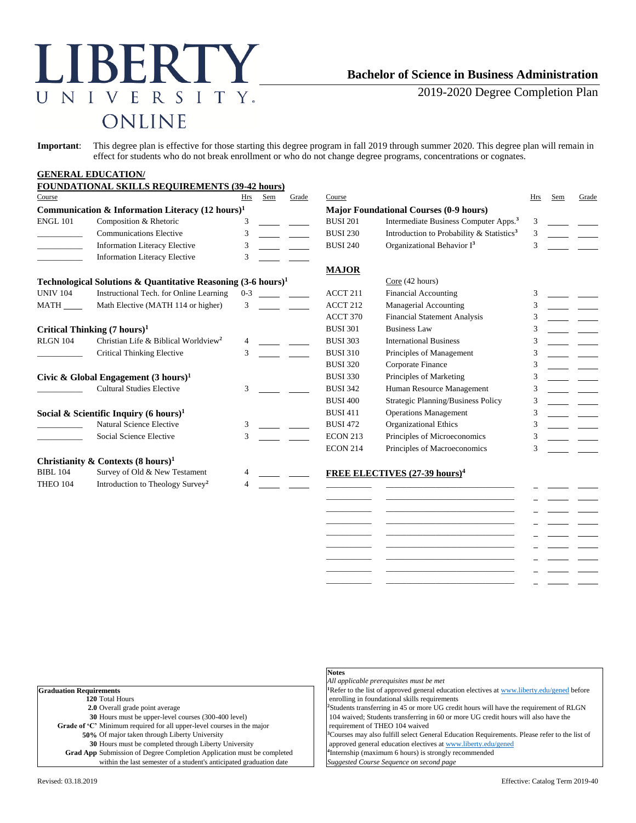# LIBERTY  ${\bf N}$ IVERSITY.  $\overline{U}$ ONLINE

## **Bachelor of Science in Business Administration**

2019-2020 Degree Completion Plan

**Important**: This degree plan is effective for those starting this degree program in fall 2019 through summer 2020. This degree plan will remain in effect for students who do not break enrollment or who do not change degree programs, concentrations or cognates.

#### **GENERAL EDUCATION/ FOUNDATIONAL SKILLS REQUIREMENTS (20-42 h**

| Course          |                                                                          | Hrs           | Sem | Grade | Course              |                                                       | Hrs | Sem | Grade |
|-----------------|--------------------------------------------------------------------------|---------------|-----|-------|---------------------|-------------------------------------------------------|-----|-----|-------|
|                 | Communication & Information Literacy $(12 \text{ hours})^1$              |               |     |       |                     | <b>Major Foundational Courses (0-9 hours)</b>         |     |     |       |
| <b>ENGL 101</b> | Composition & Rhetoric                                                   | 3             |     |       | <b>BUSI 201</b>     | Intermediate Business Computer Apps. <sup>3</sup>     | 3   |     |       |
|                 | <b>Communications Elective</b>                                           | 3             |     |       | <b>BUSI 230</b>     | Introduction to Probability & Statistics <sup>3</sup> | 3   |     |       |
|                 | <b>Information Literacy Elective</b>                                     | 3             |     |       | <b>BUSI 240</b>     | Organizational Behavior $I3$                          | 3   |     |       |
|                 | <b>Information Literacy Elective</b>                                     | 3             |     |       |                     |                                                       |     |     |       |
|                 |                                                                          |               |     |       | <b>MAJOR</b>        |                                                       |     |     |       |
|                 | Technological Solutions & Quantitative Reasoning $(3-6 \text{ hours})^1$ |               |     |       |                     | Core (42 hours)                                       |     |     |       |
| <b>UNIV 104</b> | Instructional Tech. for Online Learning                                  | $0 - 3$       |     |       | ACCT <sub>211</sub> | <b>Financial Accounting</b>                           | 3   |     |       |
| MATH            | Math Elective (MATH 114 or higher)                                       | 3             |     |       | ACCT <sub>212</sub> | Managerial Accounting                                 | 3   |     |       |
|                 |                                                                          |               |     |       | ACCT 370            | <b>Financial Statement Analysis</b>                   | 3   |     |       |
|                 | Critical Thinking $(7 \text{ hours})^1$                                  |               |     |       | <b>BUSI 301</b>     | <b>Business Law</b>                                   | 3   |     |       |
| <b>RLGN 104</b> | Christian Life & Biblical Worldview <sup>2</sup>                         |               |     |       | <b>BUSI 303</b>     | <b>International Business</b>                         | 3   |     |       |
|                 | <b>Critical Thinking Elective</b>                                        | $\mathcal{F}$ |     |       | <b>BUSI 310</b>     | Principles of Management                              | 3   |     |       |
|                 |                                                                          |               |     |       | <b>BUSI 320</b>     | Corporate Finance                                     | 3   |     |       |
|                 | Civic & Global Engagement $(3 \text{ hours})^1$                          |               |     |       | <b>BUSI 330</b>     | Principles of Marketing                               | 3   |     |       |
|                 | <b>Cultural Studies Elective</b>                                         | 3             |     |       | <b>BUSI 342</b>     | Human Resource Management                             |     |     |       |
|                 |                                                                          |               |     |       | <b>BUSI 400</b>     | Strategic Planning/Business Policy                    | 3   |     |       |
|                 | Social & Scientific Inquiry (6 hours) <sup>1</sup>                       |               |     |       | <b>BUSI 411</b>     | <b>Operations Management</b>                          | 3   |     |       |
|                 | Natural Science Elective                                                 | 3             |     |       | <b>BUSI 472</b>     | <b>Organizational Ethics</b>                          | 3   |     |       |
|                 | Social Science Elective                                                  | 3             |     |       | <b>ECON 213</b>     | Principles of Microeconomics                          | 3   |     |       |
|                 |                                                                          |               |     |       | <b>ECON 214</b>     | Principles of Macroeconomics                          | 3   |     |       |
|                 | Christianity & Contexts $(8 \text{ hours})^1$                            |               |     |       |                     |                                                       |     |     |       |
| <b>BIBL 104</b> | Survey of Old & New Testament                                            |               |     |       |                     | FREE ELECTIVES (27-39 hours) <sup>4</sup>             |     |     |       |
| THEO 104        | Introduction to Theology Survey <sup>2</sup>                             |               |     |       |                     |                                                       |     |     |       |
|                 |                                                                          |               |     |       |                     |                                                       |     |     |       |
|                 |                                                                          |               |     |       |                     |                                                       |     |     |       |

|                                                                               | <b>Notes</b>                                                 |
|-------------------------------------------------------------------------------|--------------------------------------------------------------|
|                                                                               | All applicable prerequisites must be met                     |
| <b>raduation Requirements</b>                                                 | <sup>1</sup> Refer to the list of approved general education |
| 120 Total Hours                                                               | enrolling in foundational skills requirements                |
| <b>2.0</b> Overall grade point average                                        | <sup>2</sup> Students transferring in 45 or more UG cred     |
| 30 Hours must be upper-level courses (300-400 level)                          | 104 waived; Students transferring in 60 or m                 |
| Grade of 'C' Minimum required for all upper-level courses in the major        | requirement of THEO 104 waived                               |
| 50% Of major taken through Liberty University                                 | <sup>3</sup> Courses may also fulfill select General Educ    |
| 30 Hours must be completed through Liberty University                         | approved general education electives at www                  |
| <b>Grad App</b> Submission of Degree Completion Application must be completed | <sup>4</sup> Internship (maximum 6 hours) is strongly re     |
| within the last semester of a student's anticipated graduation date           | Suggested Course Sequence on second page                     |
|                                                                               |                                                              |

\_\_\_\_\_\_\_\_\_\_\_ \_\_\_\_\_\_\_\_\_\_\_\_\_\_\_\_\_\_\_\_\_\_\_\_\_\_\_\_\_\_\_ \_\_\_\_\_\_\_\_\_\_\_ \_\_\_\_\_\_\_\_\_\_\_\_\_\_\_\_\_\_\_\_\_\_\_\_\_\_\_\_\_\_\_ \_\_\_\_\_\_\_\_\_\_\_ \_\_\_\_\_\_\_\_\_\_\_\_\_\_\_\_\_\_\_\_\_\_\_\_\_\_\_\_\_\_\_ \_\_\_\_\_\_\_\_\_\_\_ \_\_\_\_\_\_\_\_\_\_\_\_\_\_\_\_\_\_\_\_\_\_\_\_\_\_\_\_\_\_\_ \_\_\_\_\_\_\_\_\_\_\_ \_\_\_\_\_\_\_\_\_\_\_\_\_\_\_\_\_\_\_\_\_\_\_\_\_\_\_\_\_\_\_ \_\_\_\_\_\_\_\_\_\_\_ \_\_\_\_\_\_\_\_\_\_\_\_\_\_\_\_\_\_\_\_\_\_\_\_\_\_\_\_\_\_\_

**al education electives a[t www.liberty.edu/gened](http://www.liberty.edu/gened) before uirements** UG credit hours will have the requirement of RLGN

in 60 or more UG credit hours will also have the

eral Education Requirements. Please refer to the list of es a[t www.liberty.edu/gened](http://www.liberty.edu/gened) trongly recommended

 $\equiv$  $\omega_{\rm c}$  , and  $\omega_{\rm c}$  $\equiv$  $\equiv$